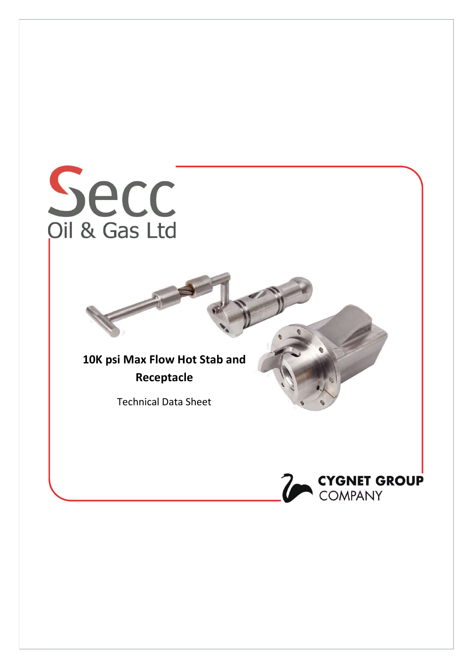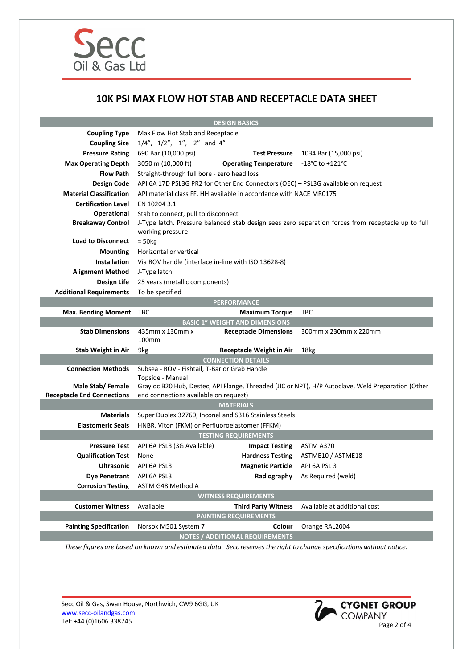

## 10K PSI MAX FLOW HOT STAB AND RECEPTACLE DATA SHEET

| <b>DESIGN BASICS</b>              |                                                                                                                        |                                        |                                                                                                    |
|-----------------------------------|------------------------------------------------------------------------------------------------------------------------|----------------------------------------|----------------------------------------------------------------------------------------------------|
| <b>Coupling Type</b>              | Max Flow Hot Stab and Receptacle                                                                                       |                                        |                                                                                                    |
| <b>Coupling Size</b>              | $1/4$ ", $1/2$ ", $1$ ", $2$ " and $4$ "                                                                               |                                        |                                                                                                    |
| <b>Pressure Rating</b>            | 690 Bar (10,000 psi)                                                                                                   | <b>Test Pressure</b>                   | 1034 Bar (15,000 psi)                                                                              |
| <b>Max Operating Depth</b>        | 3050 m (10,000 ft)                                                                                                     | <b>Operating Temperature</b>           | $-18^{\circ}$ C to $+121^{\circ}$ C                                                                |
| <b>Flow Path</b>                  | Straight-through full bore - zero head loss                                                                            |                                        |                                                                                                    |
| <b>Design Code</b>                | API 6A 17D PSL3G PR2 for Other End Connectors (OEC) - PSL3G available on request                                       |                                        |                                                                                                    |
| <b>Material Classification</b>    | API material class FF, HH available in accordance with NACE MR0175                                                     |                                        |                                                                                                    |
| <b>Certification Level</b>        | EN 10204 3.1                                                                                                           |                                        |                                                                                                    |
| <b>Operational</b>                | Stab to connect, pull to disconnect                                                                                    |                                        |                                                                                                    |
| <b>Breakaway Control</b>          | working pressure                                                                                                       |                                        | J-Type latch. Pressure balanced stab design sees zero separation forces from receptacle up to full |
| <b>Load to Disconnect</b>         | $\approx$ 50kg                                                                                                         |                                        |                                                                                                    |
| <b>Mounting</b>                   | Horizontal or vertical                                                                                                 |                                        |                                                                                                    |
| <b>Installation</b>               | Via ROV handle (interface in-line with ISO 13628-8)                                                                    |                                        |                                                                                                    |
| <b>Alignment Method</b>           | J-Type latch                                                                                                           |                                        |                                                                                                    |
| Design Life                       | 25 years (metallic components)                                                                                         |                                        |                                                                                                    |
| <b>Additional Requirements</b>    | To be specified                                                                                                        |                                        |                                                                                                    |
| <b>PERFORMANCE</b>                |                                                                                                                        |                                        |                                                                                                    |
| <b>Max. Bending Moment</b>        | TBC                                                                                                                    | <b>Maximum Torque</b>                  | TBC                                                                                                |
|                                   |                                                                                                                        | <b>BASIC 1" WEIGHT AND DIMENSIONS</b>  |                                                                                                    |
| <b>Stab Dimensions</b>            | 435mm x 130mm x<br>100 <sub>mm</sub>                                                                                   | <b>Receptacle Dimensions</b>           | 300mm x 230mm x 220mm                                                                              |
| <b>Stab Weight in Air</b>         | 9kg                                                                                                                    | <b>Receptacle Weight in Air</b>        | 18kg                                                                                               |
| <b>CONNECTION DETAILS</b>         |                                                                                                                        |                                        |                                                                                                    |
| <b>Connection Methods</b>         | Subsea - ROV - Fishtail, T-Bar or Grab Handle                                                                          |                                        |                                                                                                    |
| Male Stab/Female                  | Topside - Manual<br>Grayloc B20 Hub, Destec, API Flange, Threaded (JIC or NPT), H/P Autoclave, Weld Preparation (Other |                                        |                                                                                                    |
| <b>Receptacle End Connections</b> | end connections available on request)                                                                                  |                                        |                                                                                                    |
| <b>MATERIALS</b>                  |                                                                                                                        |                                        |                                                                                                    |
| <b>Materials</b>                  | Super Duplex 32760, Inconel and S316 Stainless Steels                                                                  |                                        |                                                                                                    |
| <b>Elastomeric Seals</b>          | HNBR, Viton (FKM) or Perfluoroelastomer (FFKM)                                                                         |                                        |                                                                                                    |
| <b>TESTING REQUIREMENTS</b>       |                                                                                                                        |                                        |                                                                                                    |
| <b>Pressure Test</b>              | API 6A PSL3 (3G Available)                                                                                             | <b>Impact Testing</b>                  | ASTM A370                                                                                          |
| <b>Qualification Test</b>         | None                                                                                                                   | <b>Hardness Testing</b>                | ASTME10 / ASTME18                                                                                  |
| <b>Ultrasonic</b>                 | API 6A PSL3                                                                                                            | <b>Magnetic Particle</b>               | API 6A PSL 3                                                                                       |
| <b>Dye Penetrant</b>              | API 6A PSL3                                                                                                            |                                        | Radiography As Required (weld)                                                                     |
| <b>Corrosion Testing</b>          | ASTM G48 Method A                                                                                                      |                                        |                                                                                                    |
| <b>WITNESS REQUIREMENTS</b>       |                                                                                                                        |                                        |                                                                                                    |
| <b>Customer Witness</b>           | Available                                                                                                              | <b>Third Party Witness</b>             | Available at additional cost                                                                       |
|                                   |                                                                                                                        | <b>PAINTING REQUIREMENTS</b>           |                                                                                                    |
| <b>Painting Specification</b>     | Norsok M501 System 7                                                                                                   | Colour                                 | Orange RAL2004                                                                                     |
|                                   |                                                                                                                        | <b>NOTES / ADDITIONAL REQUIREMENTS</b> |                                                                                                    |

These figures are based on known and estimated data. Secc reserves the right to change specifications without notice.

Secc Oil & Gas, Swan House, Northwich, CW9 6GG, UK www.secc-oilandgas.com Secc Oil & Gas, Swan House, Northwich, CW9 6GG, UK<br>
WWW.secc-oilandgas.com<br>
Tel: +44 (0)1606 338745<br>
Page 2 of 4

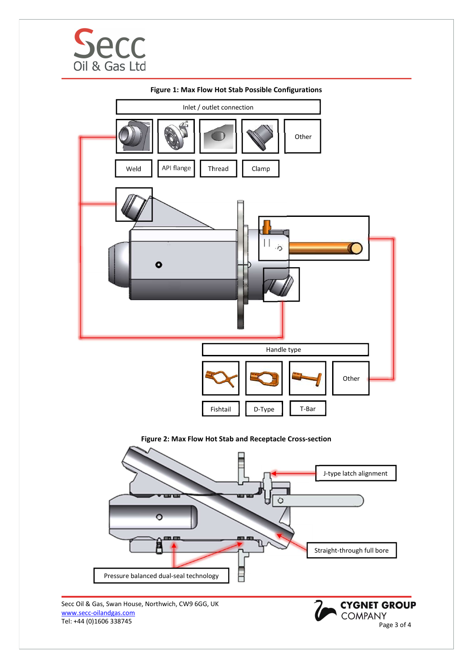





Secc Oil & Gas, Swan House, Northwich, CW9 6GG, UK www.secc-oilandgas.com Secc Oil & Gas, Swan House, Northwich, CW9 6GG, UK<br>
WWW.secc-oilandgas.com<br>
Tel: +44 (0)1606 338745<br>
Page 3 of 4